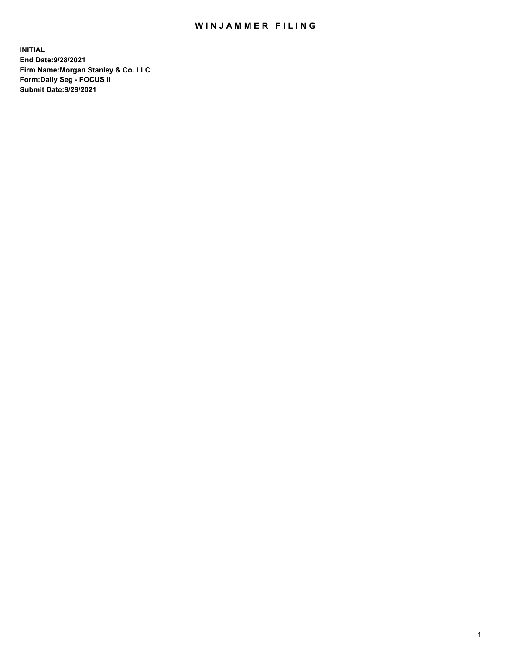## WIN JAMMER FILING

**INITIAL End Date:9/28/2021 Firm Name:Morgan Stanley & Co. LLC Form:Daily Seg - FOCUS II Submit Date:9/29/2021**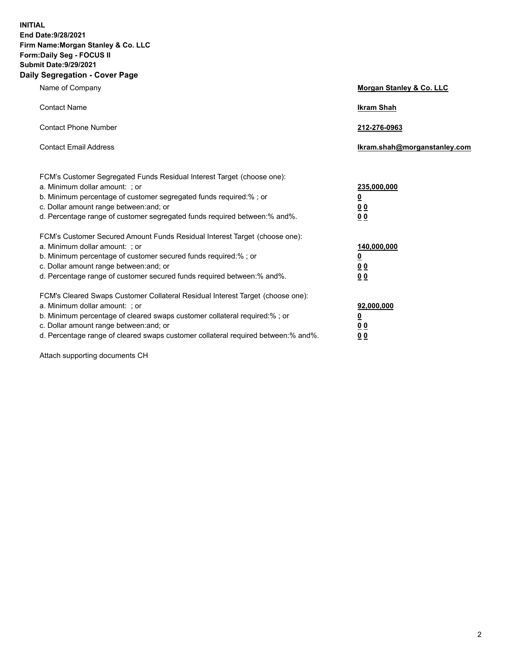**INITIAL End Date:9/28/2021 Firm Name:Morgan Stanley & Co. LLC Form:Daily Seg - FOCUS II Submit Date:9/29/2021 Daily Segregation - Cover Page**

| Name of Company                                                                                                                                                                                                                                                                                                                | <b>Morgan Stanley &amp; Co. LLC</b>                    |
|--------------------------------------------------------------------------------------------------------------------------------------------------------------------------------------------------------------------------------------------------------------------------------------------------------------------------------|--------------------------------------------------------|
| <b>Contact Name</b>                                                                                                                                                                                                                                                                                                            | <b>Ikram Shah</b>                                      |
| <b>Contact Phone Number</b>                                                                                                                                                                                                                                                                                                    | 212-276-0963                                           |
| <b>Contact Email Address</b>                                                                                                                                                                                                                                                                                                   | Ikram.shah@morganstanley.com                           |
| FCM's Customer Segregated Funds Residual Interest Target (choose one):<br>a. Minimum dollar amount: : or<br>b. Minimum percentage of customer segregated funds required:%; or<br>c. Dollar amount range between: and; or<br>d. Percentage range of customer segregated funds required between:% and%.                          | 235,000,000<br><u>0</u><br><u>00</u><br><u>00</u>      |
| FCM's Customer Secured Amount Funds Residual Interest Target (choose one):<br>a. Minimum dollar amount: ; or<br>b. Minimum percentage of customer secured funds required:%; or<br>c. Dollar amount range between: and; or<br>d. Percentage range of customer secured funds required between:% and%.                            | 140,000,000<br><u>0</u><br><u>00</u><br>0 <sub>0</sub> |
| FCM's Cleared Swaps Customer Collateral Residual Interest Target (choose one):<br>a. Minimum dollar amount: ; or<br>b. Minimum percentage of cleared swaps customer collateral required:% ; or<br>c. Dollar amount range between: and; or<br>d. Percentage range of cleared swaps customer collateral required between:% and%. | 92,000,000<br><u>0</u><br><u>00</u><br>00              |

Attach supporting documents CH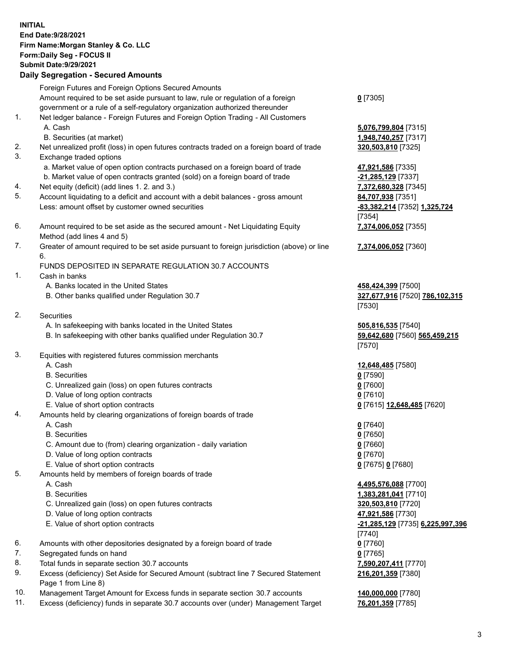## **INITIAL End Date:9/28/2021 Firm Name:Morgan Stanley & Co. LLC Form:Daily Seg - FOCUS II Submit Date:9/29/2021**

**Daily Segregation - Secured Amounts** Foreign Futures and Foreign Options Secured Amounts Amount required to be set aside pursuant to law, rule or regulation of a foreign government or a rule of a self-regulatory organization authorized thereunder 1. Net ledger balance - Foreign Futures and Foreign Option Trading - All Customers A. Cash **5,076,799,804** [7315] B. Securities (at market) **1,948,740,257** [7317] 2. Net unrealized profit (loss) in open futures contracts traded on a foreign board of trade **320,503,810** [7325] 3. Exchange traded options a. Market value of open option contracts purchased on a foreign board of trade **47,921,586** [7335] b. Market value of open contracts granted (sold) on a foreign board of trade **-21,285,129** [7337] 4. Net equity (deficit) (add lines 1. 2. and 3.) **7,372,680,328** [7345] 5. Account liquidating to a deficit and account with a debit balances - gross amount **84,707,938** [7351] Less: amount offset by customer owned securities **-83,382,214** [7352] **1,325,724** 6. Amount required to be set aside as the secured amount - Net Liquidating Equity Method (add lines 4 and 5) 7. Greater of amount required to be set aside pursuant to foreign jurisdiction (above) or line 6. FUNDS DEPOSITED IN SEPARATE REGULATION 30.7 ACCOUNTS 1. Cash in banks A. Banks located in the United States **458,424,399** [7500] B. Other banks qualified under Regulation 30.7 **327,677,916** [7520] **786,102,315** 2. Securities A. In safekeeping with banks located in the United States **505,816,535** [7540] B. In safekeeping with other banks qualified under Regulation 30.7 **59,642,680** [7560] **565,459,215** 3. Equities with registered futures commission merchants A. Cash **12,648,485** [7580] B. Securities **0** [7590] C. Unrealized gain (loss) on open futures contracts **0** [7600] D. Value of long option contracts **0** [7610] E. Value of short option contracts **0** [7615] **12,648,485** [7620] 4. Amounts held by clearing organizations of foreign boards of trade A. Cash **0** [7640] B. Securities **0** [7650] C. Amount due to (from) clearing organization - daily variation **0** [7660] D. Value of long option contracts **0** [7670] E. Value of short option contracts **0** [7675] **0** [7680] 5. Amounts held by members of foreign boards of trade A. Cash **4,495,576,088** [7700]

- 
- C. Unrealized gain (loss) on open futures contracts **320,503,810** [7720]
- D. Value of long option contracts **47,921,586** [7730]
- E. Value of short option contracts **-21,285,129** [7735] **6,225,997,396**
- 6. Amounts with other depositories designated by a foreign board of trade **0** [7760]
- 7. Segregated funds on hand **0** [7765]
- 8. Total funds in separate section 30.7 accounts **7,590,207,411** [7770]
- 9. Excess (deficiency) Set Aside for Secured Amount (subtract line 7 Secured Statement Page 1 from Line 8)
- 10. Management Target Amount for Excess funds in separate section 30.7 accounts **140,000,000** [7780]
- 11. Excess (deficiency) funds in separate 30.7 accounts over (under) Management Target **76,201,359** [7785]

**0** [7305]

[7354] **7,374,006,052** [7355]

**7,374,006,052** [7360]

[7530]

[7570]

 B. Securities **1,383,281,041** [7710] [7740] **216,201,359** [7380]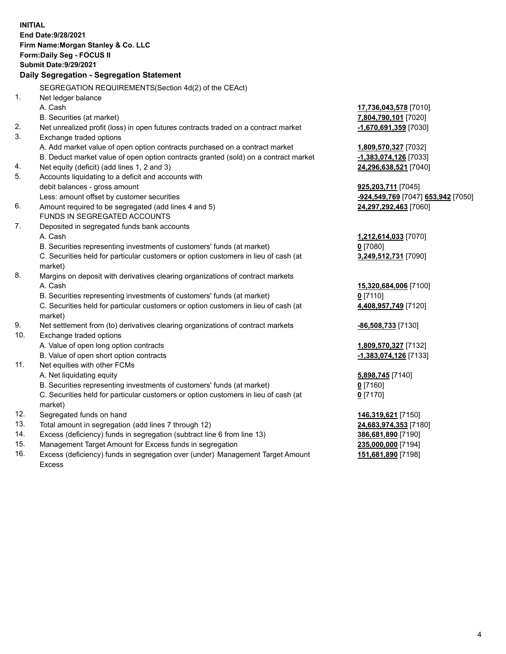**INITIAL End Date:9/28/2021 Firm Name:Morgan Stanley & Co. LLC Form:Daily Seg - FOCUS II Submit Date:9/29/2021 Daily Segregation - Segregation Statement** SEGREGATION REQUIREMENTS(Section 4d(2) of the CEAct) 1. Net ledger balance A. Cash **17,736,043,578** [7010] B. Securities (at market) **7,804,790,101** [7020] 2. Net unrealized profit (loss) in open futures contracts traded on a contract market **-1,670,691,359** [7030] 3. Exchange traded options A. Add market value of open option contracts purchased on a contract market **1,809,570,327** [7032] B. Deduct market value of open option contracts granted (sold) on a contract market **-1,383,074,126** [7033] 4. Net equity (deficit) (add lines 1, 2 and 3) **24,296,638,521** [7040] 5. Accounts liquidating to a deficit and accounts with debit balances - gross amount **925,203,711** [7045] Less: amount offset by customer securities **-924,549,769** [7047] **653,942** [7050] 6. Amount required to be segregated (add lines 4 and 5) **24,297,292,463** [7060] FUNDS IN SEGREGATED ACCOUNTS 7. Deposited in segregated funds bank accounts A. Cash **1,212,614,033** [7070] B. Securities representing investments of customers' funds (at market) **0** [7080] C. Securities held for particular customers or option customers in lieu of cash (at market) **3,249,512,731** [7090] 8. Margins on deposit with derivatives clearing organizations of contract markets A. Cash **15,320,684,006** [7100] B. Securities representing investments of customers' funds (at market) **0** [7110] C. Securities held for particular customers or option customers in lieu of cash (at market) **4,408,957,749** [7120] 9. Net settlement from (to) derivatives clearing organizations of contract markets **-86,508,733** [7130] 10. Exchange traded options A. Value of open long option contracts **1,809,570,327** [7132] B. Value of open short option contracts **-1,383,074,126** [7133] 11. Net equities with other FCMs A. Net liquidating equity **5,898,745** [7140] B. Securities representing investments of customers' funds (at market) **0** [7160] C. Securities held for particular customers or option customers in lieu of cash (at market) **0** [7170] 12. Segregated funds on hand **146,319,621** [7150] 13. Total amount in segregation (add lines 7 through 12) **24,683,974,353** [7180] 14. Excess (deficiency) funds in segregation (subtract line 6 from line 13) **386,681,890** [7190] 15. Management Target Amount for Excess funds in segregation **235,000,000** [7194]

16. Excess (deficiency) funds in segregation over (under) Management Target Amount Excess

**151,681,890** [7198]